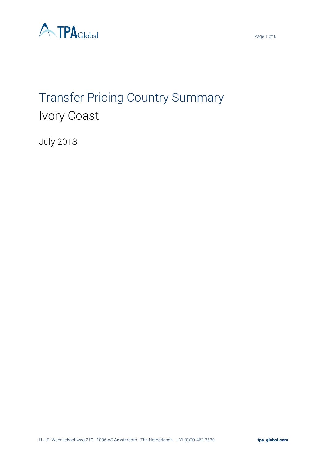



# Transfer Pricing Country Summary Ivory Coast

July 2018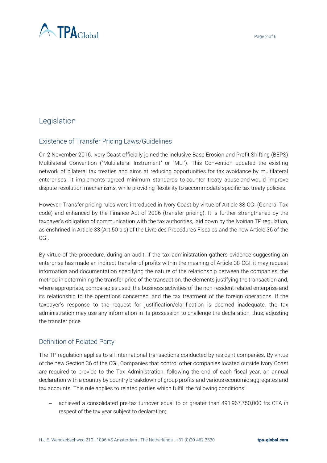

# Legislation

## Existence of Transfer Pricing Laws/Guidelines

On 2 November 2016, Ivory Coast officially joined the Inclusive Base Erosion and Profit Shifting (BEPS) Multilateral Convention ("Multilateral Instrument" or "MLI"). This Convention updated the existing network of bilateral tax treaties and aims at reducing opportunities for tax avoidance by multilateral enterprises. It implements agreed minimum standards to counter treaty abuse and would improve dispute resolution mechanisms, while providing flexibility to accommodate specific tax treaty policies.

However, Transfer pricing rules were introduced in Ivory Coast by virtue of Article 38 CGI (General Tax code) and enhanced by the Finance Act of 2006 (transfer pricing). It is further strengthened by the taxpayer's obligation of communication with the tax authorities, laid down by the Ivoirian TP regulation, as enshrined in Article 33 (Art 50 bis) of the Livre des Procédures Fiscales and the new Article 36 of the CGI.

By virtue of the procedure, during an audit, if the tax administration gathers evidence suggesting an enterprise has made an indirect transfer of profits within the meaning of Article 38 CGI, it may request information and documentation specifying the nature of the relationship between the companies, the method in determining the transfer price of the transaction, the elements justifying the transaction and, where appropriate, comparables used, the business activities of the non-resident related enterprise and its relationship to the operations concerned, and the tax treatment of the foreign operations. If the taxpayer's response to the request for justification/clarification is deemed inadequate, the tax administration may use any information in its possession to challenge the declaration, thus, adjusting the transfer price.

#### Definition of Related Party

The TP regulation applies to all international transactions conducted by resident companies. By virtue of the new Section 36 of the CGI, Companies that control other companies located outside Ivory Coast are required to provide to the Tax Administration, following the end of each fiscal year, an annual declaration with a country by country breakdown of group profits and various economic aggregates and tax accounts. This rule applies to related parties which fulfill the following conditions:

achieved a consolidated pre-tax turnover equal to or greater than 491,967,750,000 frs CFA in respect of the tax year subject to declaration;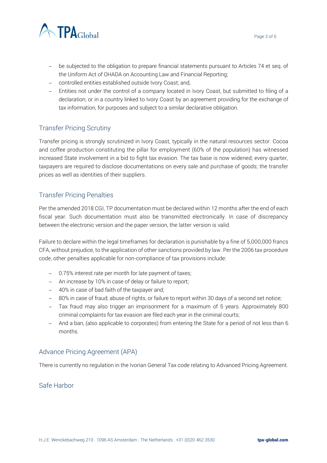



- − be subjected to the obligation to prepare financial statements pursuant to Articles 74 et seq. of the Uniform Act of OHADA on Accounting Law and Financial Reporting;
- − controlled entities established outside Ivory Coast; and,
- − Entities not under the control of a company located in Ivory Coast, but submitted to filing of a declaration, or in a country linked to Ivory Coast by an agreement providing for the exchange of tax information, for purposes and subject to a similar declarative obligation.

## Transfer Pricing Scrutiny

Transfer pricing is strongly scrutinized in Ivory Coast, typically in the natural resources sector. Cocoa and coffee production constituting the pillar for employment (60% of the population) has witnessed increased State involvement in a bid to fight tax evasion. The tax base is now widened; every quarter, taxpayers are required to disclose documentations on every sale and purchase of goods; the transfer prices as well as identities of their suppliers.

## Transfer Pricing Penalties

Per the amended 2018 CGI, TP documentation must be declared within 12 months after the end of each fiscal year. Such documentation must also be transmitted electronically. In case of discrepancy between the electronic version and the paper version, the latter version is valid.

Failure to declare within the legal timeframes for declaration is punishable by a fine of 5,000,000 francs CFA, without prejudice, to the application of other sanctions provided by law. Per the 2006 tax procedure code, other penalties applicable for non-compliance of tax provisions include:

- − 0.75% interest rate per month for late payment of taxes;
- − An increase by 10% in case of delay or failure to report;
- − 40% in case of bad faith of the taxpayer and;
- − 80% in case of fraud; abuse of rights, or failure to report within 30 days of a second set notice;
- − Tax fraud may also trigger an imprisonment for a maximum of 5 years. Approximately 800 criminal complaints for tax evasion are filed each year in the criminal courts;
- − And a ban, (also applicable to corporates) from entering the State for a period of not less than 6 months.

## Advance Pricing Agreement (APA)

There is currently no regulation in the Ivorian General Tax code relating to Advanced Pricing Agreement.

## Safe Harbor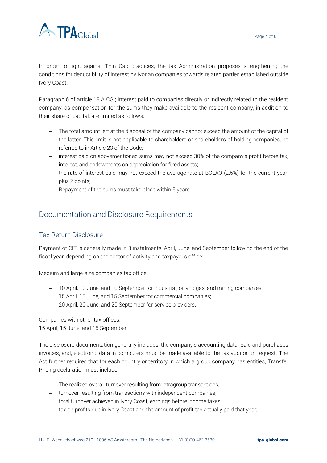

In order to fight against Thin Cap practices, the tax Administration proposes strengthening the conditions for deductibility of interest by Ivorian companies towards related parties established outside Ivory Coast.

Paragraph 6 of article 18 A CGI; interest paid to companies directly or indirectly related to the resident company, as compensation for the sums they make available to the resident company, in addition to their share of capital, are limited as follows:

- − The total amount left at the disposal of the company cannot exceed the amount of the capital of the latter. This limit is not applicable to shareholders or shareholders of holding companies, as referred to in Article 23 of the Code;
- − interest paid on abovementioned sums may not exceed 30% of the company's profit before tax, interest, and endowments on depreciation for fixed assets;
- − the rate of interest paid may not exceed the average rate at BCEAO (2.5%) for the current year, plus 2 points;
- − Repayment of the sums must take place within 5 years.

## Documentation and Disclosure Requirements

#### Tax Return Disclosure

Payment of CIT is generally made in 3 instalments, April, June, and September following the end of the fiscal year, depending on the sector of activity and taxpayer's office:

Medium and large-size companies tax office:

- − 10 April, 10 June, and 10 September for industrial, oil and gas, and mining companies;
- − 15 April, 15 June, and 15 September for commercial companies;
- − 20 April, 20 June, and 20 September for service providers.

Companies with other tax offices: 15 April, 15 June, and 15 September.

The disclosure documentation generally includes, the company's accounting data; Sale and purchases invoices; and, electronic data in computers must be made available to the tax auditor on request. The Act further requires that for each country or territory in which a group company has entities, Transfer Pricing declaration must include:

- − The realized overall turnover resulting from intragroup transactions;
- − turnover resulting from transactions with independent companies;
- − total turnover achieved in Ivory Coast; earnings before income taxes;
- − tax on profits due in Ivory Coast and the amount of profit tax actually paid that year;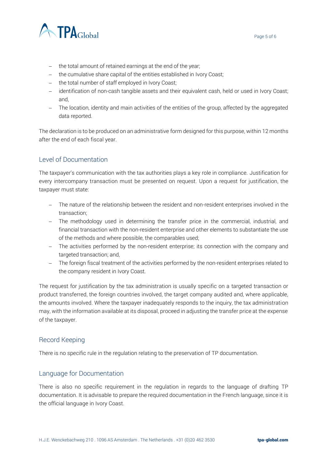

- − the total amount of retained earnings at the end of the year;
- − the cumulative share capital of the entities established in Ivory Coast;
- − the total number of staff employed in Ivory Coast;
- − identification of non-cash tangible assets and their equivalent cash, held or used in Ivory Coast; and,
- − The location, identity and main activities of the entities of the group, affected by the aggregated data reported.

The declaration is to be produced on an administrative form designed for this purpose, within 12 months after the end of each fiscal year.

#### Level of Documentation

The taxpayer's communication with the tax authorities plays a key role in compliance. Justification for every intercompany transaction must be presented on request. Upon a request for justification, the taxpayer must state:

- − The nature of the relationship between the resident and non-resident enterprises involved in the transaction;
- − The methodology used in determining the transfer price in the commercial, industrial, and financial transaction with the non-resident enterprise and other elements to substantiate the use of the methods and where possible, the comparables used;
- − The activities performed by the non-resident enterprise; its connection with the company and targeted transaction; and,
- − The foreign fiscal treatment of the activities performed by the non-resident enterprises related to the company resident in Ivory Coast.

The request for justification by the tax administration is usually specific on a targeted transaction or product transferred, the foreign countries involved, the target company audited and, where applicable, the amounts involved. Where the taxpayer inadequately responds to the inquiry, the tax administration may, with the information available at its disposal, proceed in adjusting the transfer price at the expense of the taxpayer.

#### Record Keeping

There is no specific rule in the regulation relating to the preservation of TP documentation.

#### Language for Documentation

There is also no specific requirement in the regulation in regards to the language of drafting TP documentation. It is advisable to prepare the required documentation in the French language, since it is the official language in Ivory Coast.